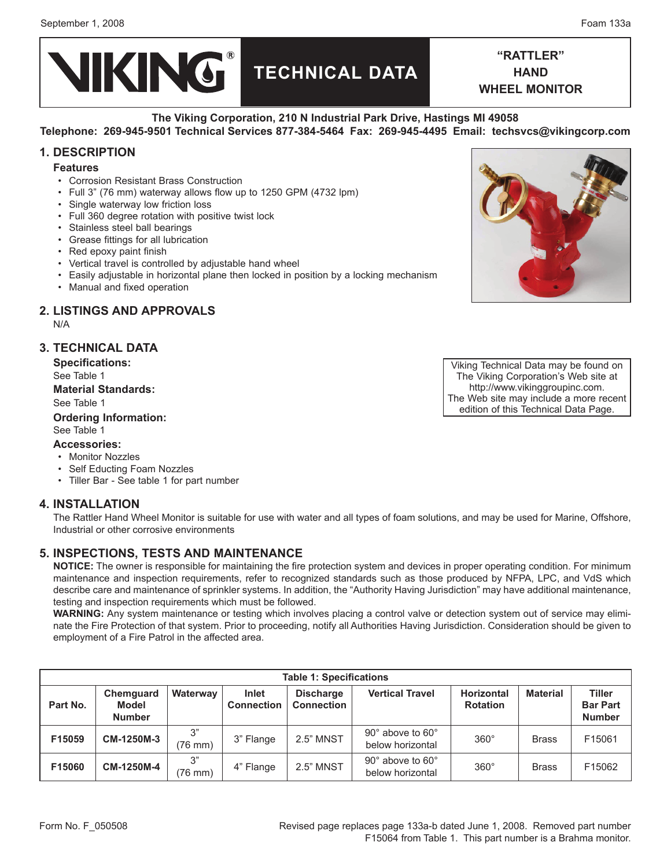

**"Rattler" hand wheel monitor**

# **The Viking Corporation, 210 N Industrial Park Drive, Hastings MI 49058**

# **Telephone: 269-945-9501 Technical Services 877-384-5464 Fax: 269-945-4495 Email: techsvcs@vikingcorp.com**

# **1. DESCRIPTION**

### **Features**

- Corrosion Resistant Brass Construction •
- Full 3" (76 mm) waterway allows flow up to 1250 GPM (4732 lpm) •
- Single waterway low friction loss
- Full 360 degree rotation with positive twist lock
- Stainless steel ball bearings
- Grease fittings for all lubrication
- Red epoxy paint finish
- Vertical travel is controlled by adjustable hand wheel
- Easily adjustable in horizontal plane then locked in position by a locking mechanism •
- Manual and fixed operation

# **2. LISTINGS AND APPROVALS**

N/A

# **3. Technical data**

**Specifications:** See Table 1 **Material Standards:** See Table 1

# **Ordering Information:**

#### See Table 1 **Accessories:**

- Monitor Nozzles
- Self Educting Foam Nozzles
- Tiller Bar See table 1 for part number

### **4. Installation**

The Rattler Hand Wheel Monitor is suitable for use with water and all types of foam solutions, and may be used for Marine, Offshore, Industrial or other corrosive environments

# **5. Inspections, tests and maintenance**

**NOTICE:** The owner is responsible for maintaining the fire protection system and devices in proper operating condition. For minimum maintenance and inspection requirements, refer to recognized standards such as those produced by NFPA, LPC, and VdS which describe care and maintenance of sprinkler systems. In addition, the "Authority Having Jurisdiction" may have additional maintenance, testing and inspection requirements which must be followed.

**WARNING:** Any system maintenance or testing which involves placing a control valve or detection system out of service may eliminate the Fire Protection of that system. Prior to proceeding, notify all Authorities Having Jurisdiction. Consideration should be given to employment of a Fire Patrol in the affected area.

| <b>Table 1: Specifications</b> |                                            |                 |                                   |                                       |                                      |                                      |                 |                                                   |
|--------------------------------|--------------------------------------------|-----------------|-----------------------------------|---------------------------------------|--------------------------------------|--------------------------------------|-----------------|---------------------------------------------------|
| Part No.                       | Chemguard<br><b>Model</b><br><b>Number</b> | <b>Waterway</b> | <b>Inlet</b><br><b>Connection</b> | <b>Discharge</b><br><b>Connection</b> | <b>Vertical Travel</b>               | <b>Horizontal</b><br><b>Rotation</b> | <b>Material</b> | <b>Tiller</b><br><b>Bar Part</b><br><b>Number</b> |
| F15059                         | CM-1250M-3                                 | 3"<br>(76 mm)   | 3" Flange                         | <b>2.5" MNST</b>                      | 90° above to 60°<br>below horizontal | $360^\circ$                          | <b>Brass</b>    | F15061                                            |
| F15060                         | CM-1250M-4                                 | 3"<br>(76 mm)   | 4" Flange                         | <b>2.5" MNST</b>                      | 90° above to 60°<br>below horizontal | $360^\circ$                          | <b>Brass</b>    | F15062                                            |



Viking Technical Data may be found on The Viking Corporation's Web site at http://www.vikinggroupinc.com. The Web site may include a more recent edition of this Technical Data Page.